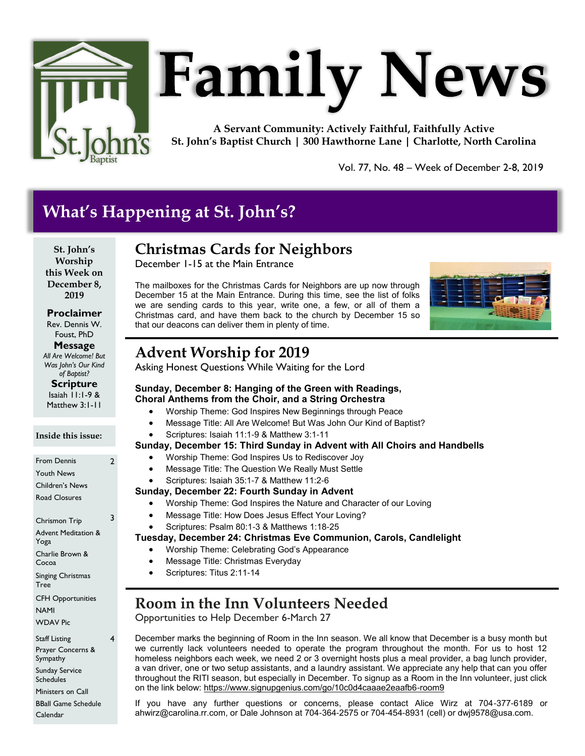

# **Family News**

**A Servant Community: Actively Faithful, Faithfully Active St. John's Baptist Church | 300 Hawthorne Lane | Charlotte, North Carolina**

Vol. 77, No. 48 – Week of December 2-8, 2019

# **What's Happening at St. John's?**

**St. John's Worship this Week on December 8, 2019**

**Proclaimer** Rev. Dennis W. Foust, PhD

**Message** *All Are Welcome! But* 

*Was John's Our Kind of Baptist?*

**Scripture** Isaiah 11:1-9 & Matthew 3:1-11

#### **Inside this issue:**

From Dennis Youth News Children's News Road Closures 2 Chrismon Trip Advent Meditation & Yoga Charlie Brown & Cocoa Singing Christmas Tree CFH Opportunities NAMI WDAV Pic 3 Staff Listing Prayer Concerns & Sympathy 4

Sunday Service Schedules Ministers on Call

BBall Game Schedule Calendar

# **Christmas Cards for Neighbors**

December 1-15 at the Main Entrance

The mailboxes for the Christmas Cards for Neighbors are up now through December 15 at the Main Entrance. During this time, see the list of folks we are sending cards to this year, write one, a few, or all of them a Christmas card, and have them back to the church by December 15 so that our deacons can deliver them in plenty of time.



# **Advent Worship for 2019**

Asking Honest Questions While Waiting for the Lord

- **Sunday, December 8: Hanging of the Green with Readings, Choral Anthems from the Choir, and a String Orchestra**
	- Worship Theme: God Inspires New Beginnings through Peace
	- Message Title: All Are Welcome! But Was John Our Kind of Baptist?
	- Scriptures: Isaiah 11:1-9 & Matthew 3:1-11

## **Sunday, December 15: Third Sunday in Advent with All Choirs and Handbells**

- Worship Theme: God Inspires Us to Rediscover Joy
- Message Title: The Question We Really Must Settle
- Scriptures: Isaiah 35:1-7 & Matthew 11:2-6

## **Sunday, December 22: Fourth Sunday in Advent**

- Worship Theme: God Inspires the Nature and Character of our Loving
- Message Title: How Does Jesus Effect Your Loving?
- Scriptures: Psalm 80:1-3 & Matthews 1:18-25

## **Tuesday, December 24: Christmas Eve Communion, Carols, Candlelight**

- Worship Theme: Celebrating God's Appearance
- Message Title: Christmas Everyday
- Scriptures: Titus 2:11-14

# **Room in the Inn Volunteers Needed**

Opportunities to Help December 6-March 27

December marks the beginning of Room in the Inn season. We all know that December is a busy month but we currently lack volunteers needed to operate the program throughout the month. For us to host 12 homeless neighbors each week, we need 2 or 3 overnight hosts plus a meal provider, a bag lunch provider, a van driver, one or two setup assistants, and a laundry assistant. We appreciate any help that can you offer throughout the RITI season, but especially in December. To signup as a Room in the Inn volunteer, just click on the link below: <https://www.signupgenius.com/go/10c0d4caaae2eaafb6-room9>

If you have any further questions or concerns, please contact Alice Wirz at 704-377-6189 or ahwirz@carolina.rr.com, or Dale Johnson at 704-364-2575 or 704-454-8931 (cell) or dwj9578@usa.com.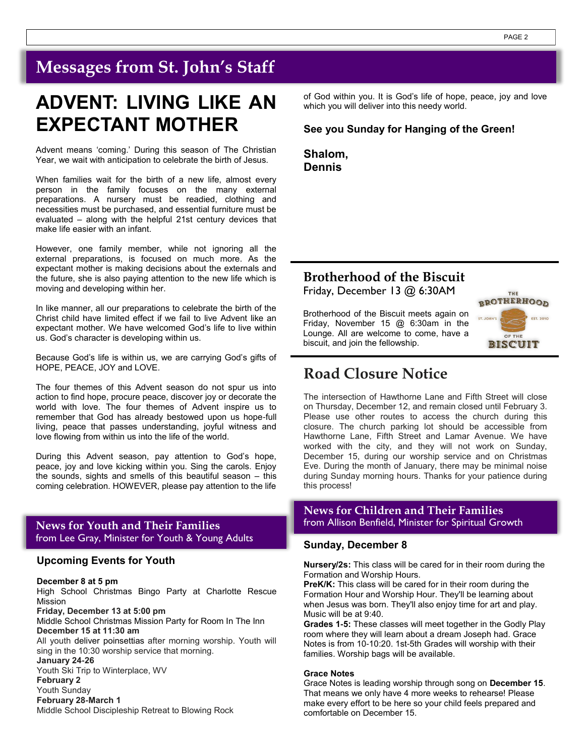# **Messages from St. John's Staff**

# **ADVENT: LIVING LIKE AN EXPECTANT MOTHER**

Advent means 'coming.' During this season of The Christian Year, we wait with anticipation to celebrate the birth of Jesus.

When families wait for the birth of a new life, almost every person in the family focuses on the many external preparations. A nursery must be readied, clothing and necessities must be purchased, and essential furniture must be evaluated – along with the helpful 21st century devices that make life easier with an infant.

However, one family member, while not ignoring all the external preparations, is focused on much more. As the expectant mother is making decisions about the externals and the future, she is also paying attention to the new life which is moving and developing within her.

In like manner, all our preparations to celebrate the birth of the Christ child have limited effect if we fail to live Advent like an expectant mother. We have welcomed God's life to live within us. God's character is developing within us.

Because God's life is within us, we are carrying God's gifts of HOPE, PEACE, JOY and LOVE.

The four themes of this Advent season do not spur us into action to find hope, procure peace, discover joy or decorate the world with love. The four themes of Advent inspire us to remember that God has already bestowed upon us hope-full living, peace that passes understanding, joyful witness and love flowing from within us into the life of the world.

During this Advent season, pay attention to God's hope, peace, joy and love kicking within you. Sing the carols. Enjoy the sounds, sights and smells of this beautiful season – this coming celebration. HOWEVER, please pay attention to the life

from Lee Gray, Minister for Youth & Young Adults

#### **Upcoming Events for Youth**

**December 8 at 5 pm** 

High School Christmas Bingo Party at Charlotte Rescue Mission **Friday, December 13 at 5:00 pm** 

Middle School Christmas Mission Party for Room In The Inn **December 15 at 11:30 am**

All youth deliver poinsettias after morning worship. Youth will sing in the 10:30 worship service that morning.

**January 24-26** Youth Ski Trip to Winterplace, WV **February 2** Youth Sunday **February 28-March 1**

Middle School Discipleship Retreat to Blowing Rock

of God within you. It is God's life of hope, peace, joy and love which you will deliver into this needy world.

#### **See you Sunday for Hanging of the Green!**

**Shalom, Dennis**

# **Brotherhood of the Biscuit**

Friday, December 13 @ 6:30AM

Brotherhood of the Biscuit meets again on Friday, November 15 @ 6:30am in the Lounge. All are welcome to come, have a biscuit, and join the fellowship.



# **Road Closure Notice**

The intersection of Hawthorne Lane and Fifth Street will close on Thursday, December 12, and remain closed until February 3. Please use other routes to access the church during this closure. The church parking lot should be accessible from Hawthorne Lane, Fifth Street and Lamar Avenue. We have worked with the city, and they will not work on Sunday, December 15, during our worship service and on Christmas Eve. During the month of January, there may be minimal noise during Sunday morning hours. Thanks for your patience during this process!

## **News for Children and Their Families News for Youth and Their Families from Allison Benfield, Minister for Spiritual Growth**

#### **Sunday, December 8**

**Nursery/2s:** This class will be cared for in their room during the Formation and Worship Hours.

**PreK/K:** This class will be cared for in their room during the Formation Hour and Worship Hour. They'll be learning about when Jesus was born. They'll also enjoy time for art and play. Music will be at 9:40.

**Grades 1-5:** These classes will meet together in the Godly Play room where they will learn about a dream Joseph had. Grace Notes is from 10-10:20. 1st-5th Grades will worship with their families. Worship bags will be available.

#### **Grace Notes**

Grace Notes is leading worship through song on **December 15**. That means we only have 4 more weeks to rehearse! Please make every effort to be here so your child feels prepared and comfortable on December 15.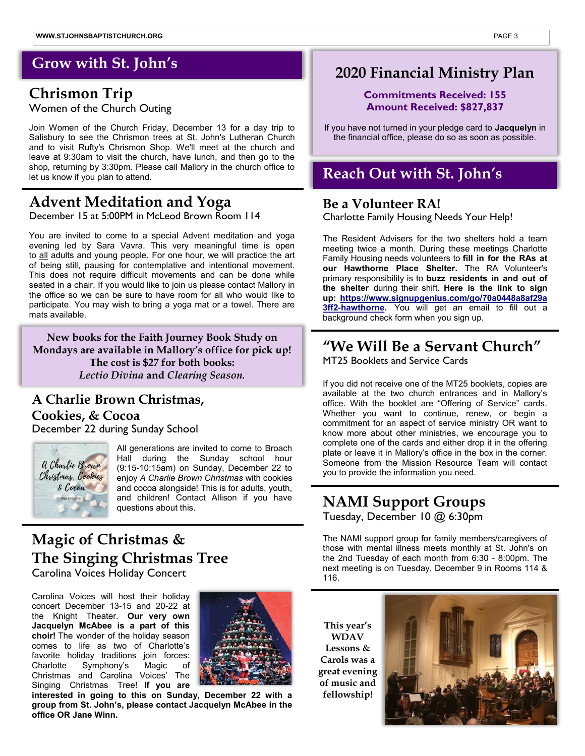# **Grow with St. John's**

# **Chrismon Trip**  Women of the Church Outing

Join Women of the Church Friday, December 13 for a day trip to Salisbury to see the Chrismon trees at St. John's Lutheran Church and to visit Rufty's Chrismon Shop. We'll meet at the church and leave at 9:30am to visit the church, have lunch, and then go to the shop, returning by 3:30pm. Please call Mallory in the church office to let us know if you plan to attend.

# **Advent Meditation and Yoga**

December 15 at 5:00PM in McLeod Brown Room 114

You are invited to come to a special Advent meditation and yoga evening led by Sara Vavra. This very meaningful time is open to all adults and young people. For one hour, we will practice the art of being still, pausing for contemplative and intentional movement. This does not require difficult movements and can be done while seated in a chair. If you would like to join us please contact Mallory in the office so we can be sure to have room for all who would like to participate. You may wish to bring a yoga mat or a towel. There are mats available.

**New books for the Faith Journey Book Study on Mondays are available in Mallory's office for pick up! The cost is \$27 for both books:**  *Lectio Divina* **and** *Clearing Season.*

## **A Charlie Brown Christmas, Cookies, & Cocoa** December 22 during Sunday School



All generations are invited to come to Broach Hall during the Sunday school hour (9:15-10:15am) on Sunday, December 22 to enjoy *A Charlie Brown Christmas* with cookies and cocoa alongside! This is for adults, youth, and children! Contact Allison if you have questions about this.

# **Magic of Christmas & The Singing Christmas Tree**

Carolina Voices Holiday Concert

Carolina Voices will host their holiday concert December 13-15 and 20-22 at the Knight Theater. **Our very own Jacquelyn McAbee is a part of this choir!** The wonder of the holiday season comes to life as two of Charlotte's favorite holiday traditions join forces: Charlotte Symphony's Magic of Christmas and Carolina Voices' The Singing Christmas Tree! **If you are** 



**interested in going to this on Sunday, December 22 with a group from St. John's, please contact Jacquelyn McAbee in the office OR Jane Winn.** 

# **2020 Financial Ministry Plan**

### **Commitments Received: 155 Amount Received: \$827,837**

If you have not turned in your pledge card to **Jacquelyn** in the financial office, please do so as soon as possible.

# **Reach Out with St. John's**

# **Be a Volunteer RA!**

Charlotte Family Housing Needs Your Help!

The Resident Advisers for the two shelters hold a team meeting twice a month. During these meetings Charlotte Family Housing needs volunteers to **fill in for the RAs at our Hawthorne Place Shelter.** The RA Volunteer's primary responsibility is to **buzz residents in and out of the shelter** during their shift. **Here is the link to sign up: [https://www.signupgenius.com/go/70a0448a8af29a](https://www.signupgenius.com/go/70a0448a8af29a3ff2-hawthorne) [3ff2-hawthorne.](https://www.signupgenius.com/go/70a0448a8af29a3ff2-hawthorne)** You will get an email to fill out a background check form when you sign up.

# **"We Will Be a Servant Church"**

MT25 Booklets and Service Cards

If you did not receive one of the MT25 booklets, copies are available at the two church entrances and in Mallory's office. With the booklet are "Offering of Service" cards. Whether you want to continue, renew, or begin a commitment for an aspect of service ministry OR want to know more about other ministries, we encourage you to complete one of the cards and either drop it in the offering plate or leave it in Mallory's office in the box in the corner. Someone from the Mission Resource Team will contact you to provide the information you need.

# **NAMI Support Groups** Tuesday, December 10 @ 6:30pm

The NAMI support group for family members/caregivers of those with mental illness meets monthly at St. John's on the 2nd Tuesday of each month from 6:30 - 8:00pm. The next meeting is on Tuesday, December 9 in Rooms 114 & 116.

**This year's WDAV Lessons & Carols was a great evening of music and fellowship!**